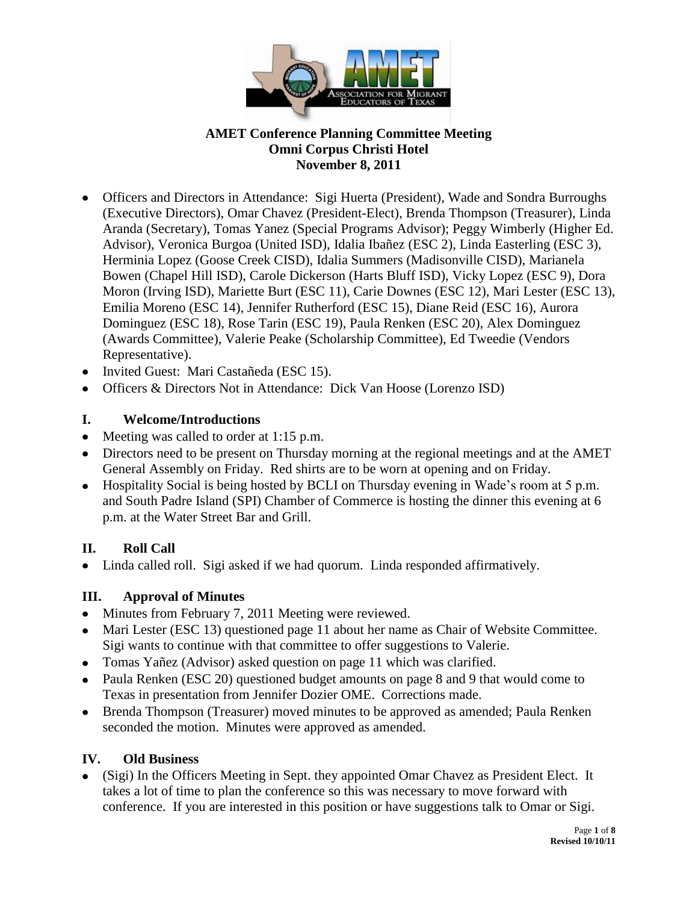

- Officers and Directors in Attendance: Sigi Huerta (President), Wade and Sondra Burroughs (Executive Directors), Omar Chavez (President-Elect), Brenda Thompson (Treasurer), Linda Aranda (Secretary), Tomas Yanez (Special Programs Advisor); Peggy Wimberly (Higher Ed. Advisor), Veronica Burgoa (United ISD), Idalia Ibañez (ESC 2), Linda Easterling (ESC 3), Herminia Lopez (Goose Creek CISD), Idalia Summers (Madisonville CISD), Marianela Bowen (Chapel Hill ISD), Carole Dickerson (Harts Bluff ISD), Vicky Lopez (ESC 9), Dora Moron (Irving ISD), Mariette Burt (ESC 11), Carie Downes (ESC 12), Mari Lester (ESC 13), Emilia Moreno (ESC 14), Jennifer Rutherford (ESC 15), Diane Reid (ESC 16), Aurora Dominguez (ESC 18), Rose Tarin (ESC 19), Paula Renken (ESC 20), Alex Dominguez (Awards Committee), Valerie Peake (Scholarship Committee), Ed Tweedie (Vendors Representative).
- Invited Guest: Mari Castañeda (ESC 15).
- Officers & Directors Not in Attendance: Dick Van Hoose (Lorenzo ISD)

### **I. Welcome/Introductions**

- Meeting was called to order at 1:15 p.m.
- Directors need to be present on Thursday morning at the regional meetings and at the AMET General Assembly on Friday. Red shirts are to be worn at opening and on Friday.
- Hospitality Social is being hosted by BCLI on Thursday evening in Wade's room at 5 p.m. and South Padre Island (SPI) Chamber of Commerce is hosting the dinner this evening at 6 p.m. at the Water Street Bar and Grill.

## **II. Roll Call**

Linda called roll. Sigi asked if we had quorum. Linda responded affirmatively.

## **III. Approval of Minutes**

- Minutes from February 7, 2011 Meeting were reviewed.
- Mari Lester (ESC 13) questioned page 11 about her name as Chair of Website Committee. Sigi wants to continue with that committee to offer suggestions to Valerie.
- Tomas Yañez (Advisor) asked question on page 11 which was clarified.
- Paula Renken (ESC 20) questioned budget amounts on page 8 and 9 that would come to Texas in presentation from Jennifer Dozier OME. Corrections made.
- Brenda Thompson (Treasurer) moved minutes to be approved as amended; Paula Renken seconded the motion. Minutes were approved as amended.

## **IV. Old Business**

(Sigi) In the Officers Meeting in Sept. they appointed Omar Chavez as President Elect. It takes a lot of time to plan the conference so this was necessary to move forward with conference. If you are interested in this position or have suggestions talk to Omar or Sigi.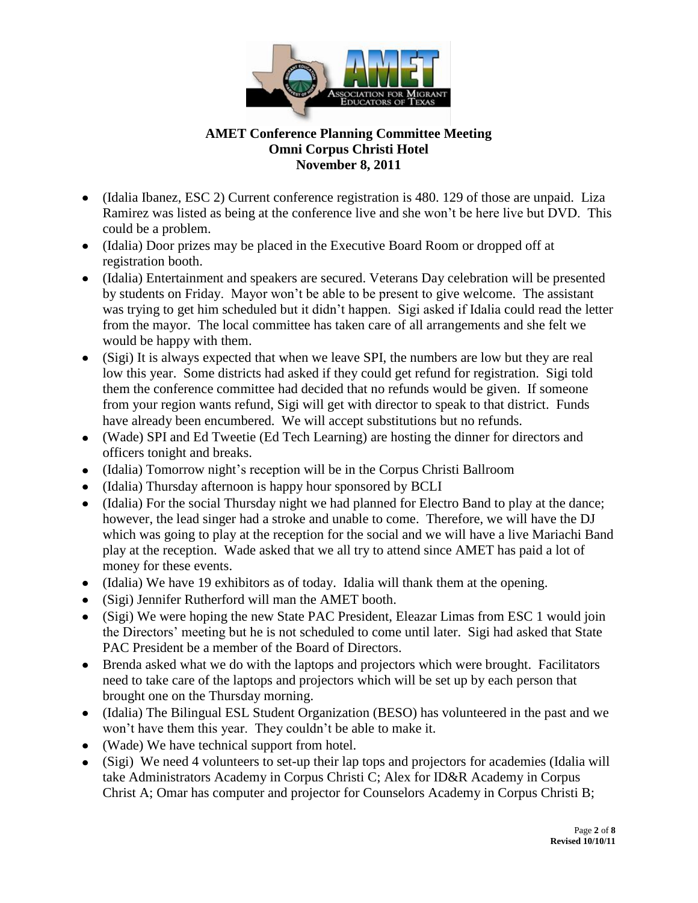

- (Idalia Ibanez, ESC 2) Current conference registration is 480. 129 of those are unpaid. Liza Ramirez was listed as being at the conference live and she won't be here live but DVD. This could be a problem.
- (Idalia) Door prizes may be placed in the Executive Board Room or dropped off at registration booth.
- (Idalia) Entertainment and speakers are secured. Veterans Day celebration will be presented by students on Friday. Mayor won't be able to be present to give welcome. The assistant was trying to get him scheduled but it didn't happen. Sigi asked if Idalia could read the letter from the mayor. The local committee has taken care of all arrangements and she felt we would be happy with them.
- (Sigi) It is always expected that when we leave SPI, the numbers are low but they are real low this year. Some districts had asked if they could get refund for registration. Sigi told them the conference committee had decided that no refunds would be given. If someone from your region wants refund, Sigi will get with director to speak to that district. Funds have already been encumbered. We will accept substitutions but no refunds.
- (Wade) SPI and Ed Tweetie (Ed Tech Learning) are hosting the dinner for directors and officers tonight and breaks.
- (Idalia) Tomorrow night's reception will be in the Corpus Christi Ballroom
- (Idalia) Thursday afternoon is happy hour sponsored by BCLI
- (Idalia) For the social Thursday night we had planned for Electro Band to play at the dance; however, the lead singer had a stroke and unable to come. Therefore, we will have the DJ which was going to play at the reception for the social and we will have a live Mariachi Band play at the reception. Wade asked that we all try to attend since AMET has paid a lot of money for these events.
- (Idalia) We have 19 exhibitors as of today. Idalia will thank them at the opening.
- (Sigi) Jennifer Rutherford will man the AMET booth.
- (Sigi) We were hoping the new State PAC President, Eleazar Limas from ESC 1 would join the Directors' meeting but he is not scheduled to come until later. Sigi had asked that State PAC President be a member of the Board of Directors.
- Brenda asked what we do with the laptops and projectors which were brought. Facilitators need to take care of the laptops and projectors which will be set up by each person that brought one on the Thursday morning.
- (Idalia) The Bilingual ESL Student Organization (BESO) has volunteered in the past and we won't have them this year. They couldn't be able to make it.
- (Wade) We have technical support from hotel.
- (Sigi) We need 4 volunteers to set-up their lap tops and projectors for academies (Idalia will take Administrators Academy in Corpus Christi C; Alex for ID&R Academy in Corpus Christ A; Omar has computer and projector for Counselors Academy in Corpus Christi B;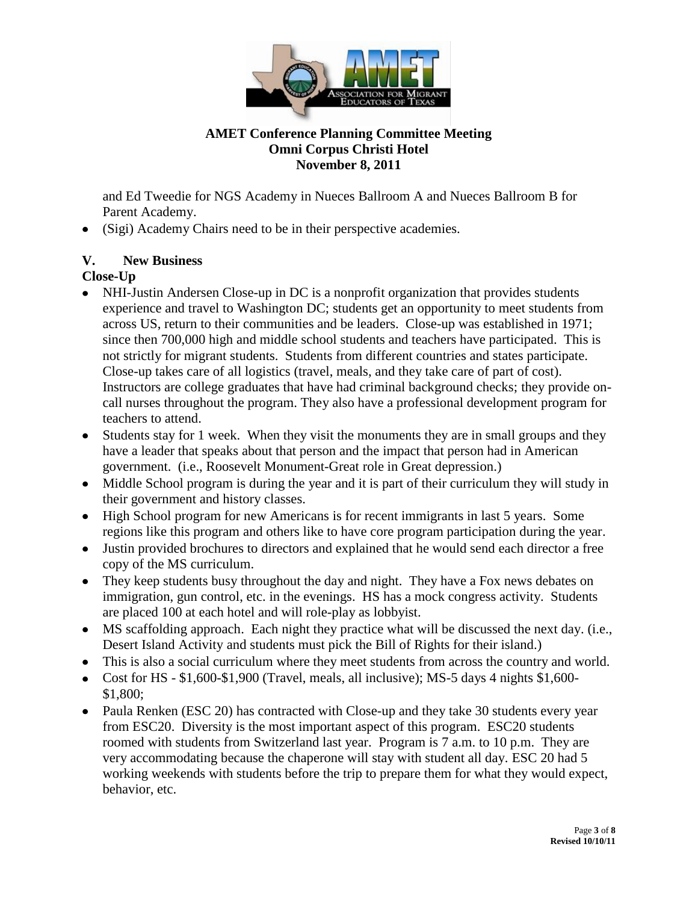

and Ed Tweedie for NGS Academy in Nueces Ballroom A and Nueces Ballroom B for Parent Academy.

(Sigi) Academy Chairs need to be in their perspective academies.

## **V. New Business**

## **Close-Up**

- NHI-Justin Andersen Close-up in DC is a nonprofit organization that provides students experience and travel to Washington DC; students get an opportunity to meet students from across US, return to their communities and be leaders. Close-up was established in 1971; since then 700,000 high and middle school students and teachers have participated. This is not strictly for migrant students. Students from different countries and states participate. Close-up takes care of all logistics (travel, meals, and they take care of part of cost). Instructors are college graduates that have had criminal background checks; they provide oncall nurses throughout the program. They also have a professional development program for teachers to attend.
- Students stay for 1 week. When they visit the monuments they are in small groups and they have a leader that speaks about that person and the impact that person had in American government. (i.e., Roosevelt Monument-Great role in Great depression.)
- Middle School program is during the year and it is part of their curriculum they will study in their government and history classes.
- High School program for new Americans is for recent immigrants in last 5 years. Some regions like this program and others like to have core program participation during the year.
- Justin provided brochures to directors and explained that he would send each director a free copy of the MS curriculum.
- They keep students busy throughout the day and night. They have a Fox news debates on immigration, gun control, etc. in the evenings. HS has a mock congress activity. Students are placed 100 at each hotel and will role-play as lobbyist.
- MS scaffolding approach. Each night they practice what will be discussed the next day. (i.e., Desert Island Activity and students must pick the Bill of Rights for their island.)
- This is also a social curriculum where they meet students from across the country and world.
- Cost for HS  $-$  \$1,600-\$1,900 (Travel, meals, all inclusive); MS-5 days 4 nights \$1,600-\$1,800;
- Paula Renken (ESC 20) has contracted with Close-up and they take 30 students every year from ESC20. Diversity is the most important aspect of this program. ESC20 students roomed with students from Switzerland last year. Program is 7 a.m. to 10 p.m. They are very accommodating because the chaperone will stay with student all day. ESC 20 had 5 working weekends with students before the trip to prepare them for what they would expect, behavior, etc.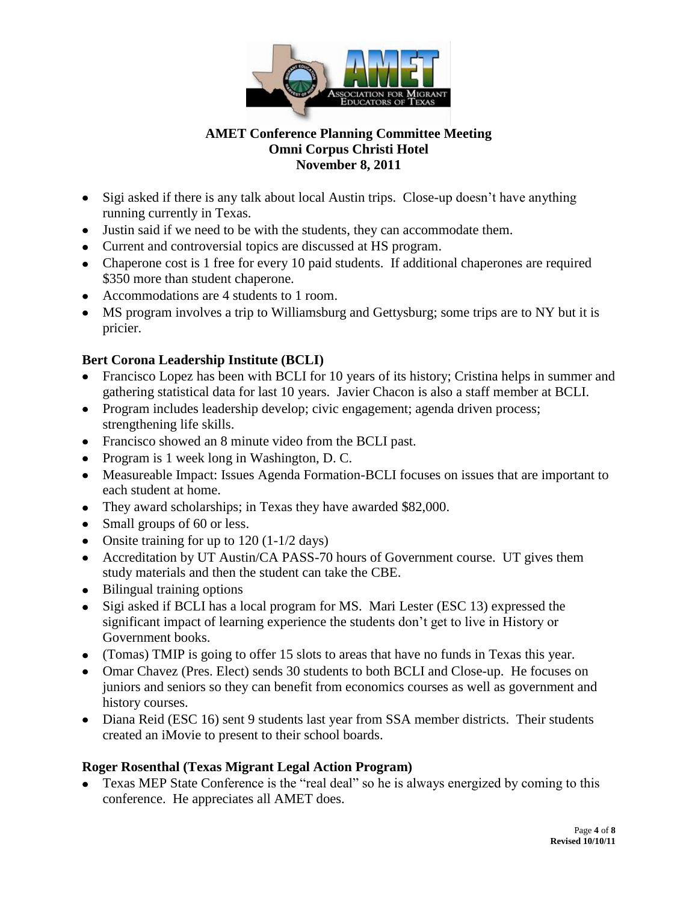

- Sigi asked if there is any talk about local Austin trips. Close-up doesn't have anything running currently in Texas.
- Justin said if we need to be with the students, they can accommodate them.
- Current and controversial topics are discussed at HS program.
- Chaperone cost is 1 free for every 10 paid students. If additional chaperones are required \$350 more than student chaperone.
- Accommodations are 4 students to 1 room.
- MS program involves a trip to Williamsburg and Gettysburg; some trips are to NY but it is pricier.

## **Bert Corona Leadership Institute (BCLI)**

- Francisco Lopez has been with BCLI for 10 years of its history; Cristina helps in summer and gathering statistical data for last 10 years. Javier Chacon is also a staff member at BCLI.
- Program includes leadership develop; civic engagement; agenda driven process; strengthening life skills.
- Francisco showed an 8 minute video from the BCLI past.
- Program is 1 week long in Washington, D. C.
- Measureable Impact: Issues Agenda Formation-BCLI focuses on issues that are important to each student at home.
- They award scholarships; in Texas they have awarded \$82,000.
- Small groups of 60 or less.
- Onsite training for up to  $120 (1-1/2 \text{ days})$
- Accreditation by UT Austin/CA PASS-70 hours of Government course. UT gives them study materials and then the student can take the CBE.
- Bilingual training options
- Sigi asked if BCLI has a local program for MS. Mari Lester (ESC 13) expressed the significant impact of learning experience the students don't get to live in History or Government books.
- (Tomas) TMIP is going to offer 15 slots to areas that have no funds in Texas this year.
- Omar Chavez (Pres. Elect) sends 30 students to both BCLI and Close-up. He focuses on juniors and seniors so they can benefit from economics courses as well as government and history courses.
- Diana Reid (ESC 16) sent 9 students last year from SSA member districts. Their students created an iMovie to present to their school boards.

## **Roger Rosenthal (Texas Migrant Legal Action Program)**

Texas MEP State Conference is the "real deal" so he is always energized by coming to this conference. He appreciates all AMET does.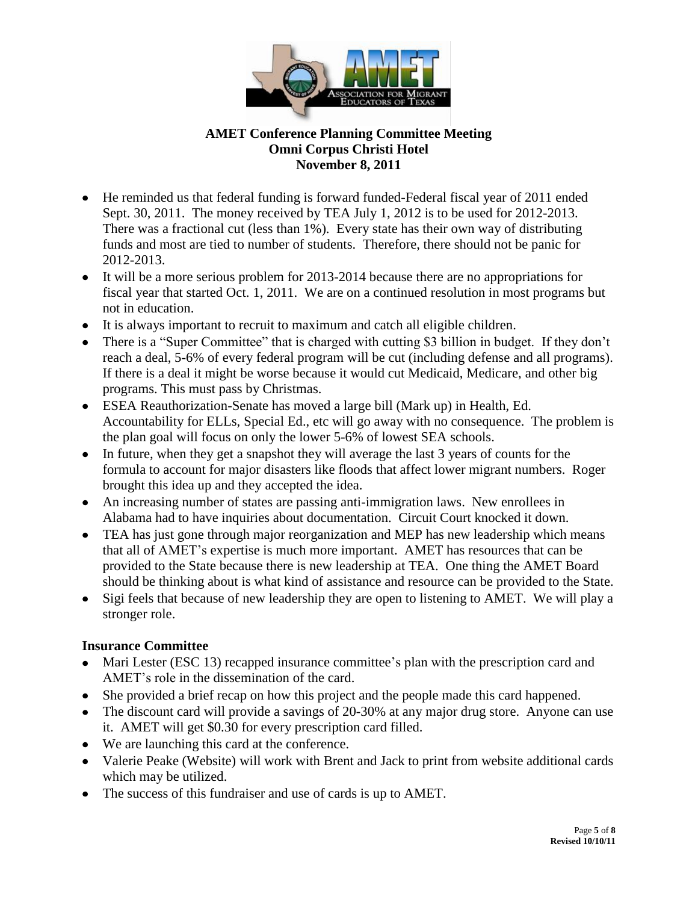

- He reminded us that federal funding is forward funded-Federal fiscal year of 2011 ended Sept. 30, 2011. The money received by TEA July 1, 2012 is to be used for 2012-2013. There was a fractional cut (less than 1%). Every state has their own way of distributing funds and most are tied to number of students. Therefore, there should not be panic for 2012-2013.
- It will be a more serious problem for 2013-2014 because there are no appropriations for fiscal year that started Oct. 1, 2011. We are on a continued resolution in most programs but not in education.
- It is always important to recruit to maximum and catch all eligible children.
- There is a "Super Committee" that is charged with cutting \$3 billion in budget. If they don't reach a deal, 5-6% of every federal program will be cut (including defense and all programs). If there is a deal it might be worse because it would cut Medicaid, Medicare, and other big programs. This must pass by Christmas.
- ESEA Reauthorization-Senate has moved a large bill (Mark up) in Health, Ed. Accountability for ELLs, Special Ed., etc will go away with no consequence. The problem is the plan goal will focus on only the lower 5-6% of lowest SEA schools.
- In future, when they get a snapshot they will average the last 3 years of counts for the formula to account for major disasters like floods that affect lower migrant numbers. Roger brought this idea up and they accepted the idea.
- An increasing number of states are passing anti-immigration laws. New enrollees in Alabama had to have inquiries about documentation. Circuit Court knocked it down.
- TEA has just gone through major reorganization and MEP has new leadership which means that all of AMET's expertise is much more important. AMET has resources that can be provided to the State because there is new leadership at TEA. One thing the AMET Board should be thinking about is what kind of assistance and resource can be provided to the State.
- Sigi feels that because of new leadership they are open to listening to AMET. We will play a stronger role.

#### **Insurance Committee**

- Mari Lester (ESC 13) recapped insurance committee's plan with the prescription card and AMET's role in the dissemination of the card.
- She provided a brief recap on how this project and the people made this card happened.
- The discount card will provide a savings of 20-30% at any major drug store. Anyone can use it. AMET will get \$0.30 for every prescription card filled.
- We are launching this card at the conference.
- Valerie Peake (Website) will work with Brent and Jack to print from website additional cards which may be utilized.
- The success of this fundraiser and use of cards is up to AMET.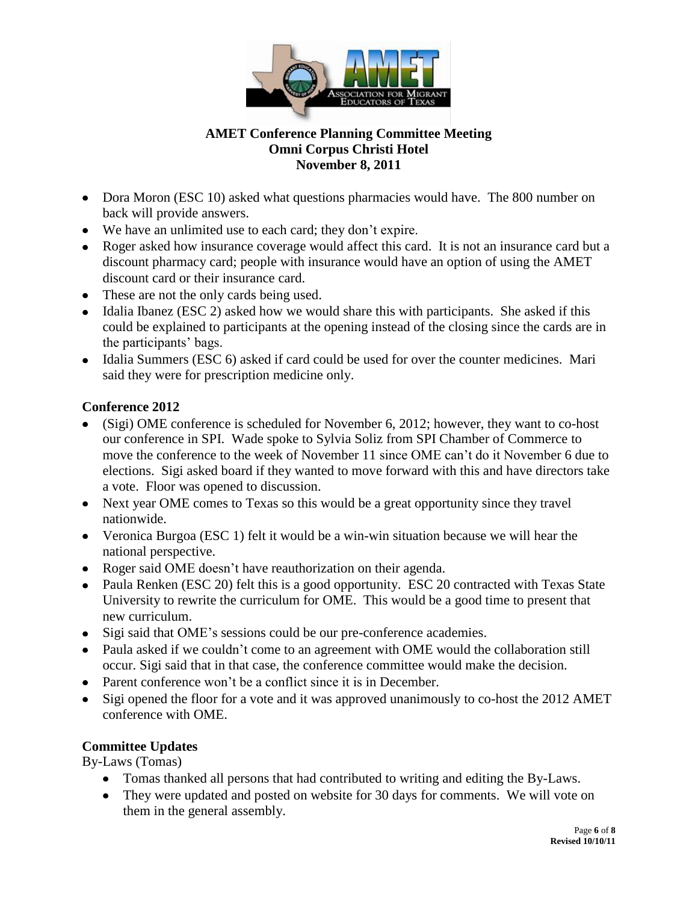

- Dora Moron (ESC 10) asked what questions pharmacies would have. The 800 number on back will provide answers.
- We have an unlimited use to each card; they don't expire.
- Roger asked how insurance coverage would affect this card. It is not an insurance card but a discount pharmacy card; people with insurance would have an option of using the AMET discount card or their insurance card.
- These are not the only cards being used.
- $\bullet$  Idalia Ibanez (ESC 2) asked how we would share this with participants. She asked if this could be explained to participants at the opening instead of the closing since the cards are in the participants' bags.
- Idalia Summers (ESC 6) asked if card could be used for over the counter medicines. Mari said they were for prescription medicine only.

### **Conference 2012**

- (Sigi) OME conference is scheduled for November 6, 2012; however, they want to co-host our conference in SPI. Wade spoke to Sylvia Soliz from SPI Chamber of Commerce to move the conference to the week of November 11 since OME can't do it November 6 due to elections. Sigi asked board if they wanted to move forward with this and have directors take a vote. Floor was opened to discussion.
- Next year OME comes to Texas so this would be a great opportunity since they travel nationwide.
- Veronica Burgoa (ESC 1) felt it would be a win-win situation because we will hear the national perspective.
- Roger said OME doesn't have reauthorization on their agenda.
- Paula Renken (ESC 20) felt this is a good opportunity. ESC 20 contracted with Texas State University to rewrite the curriculum for OME. This would be a good time to present that new curriculum.
- Sigi said that OME's sessions could be our pre-conference academies.
- Paula asked if we couldn't come to an agreement with OME would the collaboration still occur. Sigi said that in that case, the conference committee would make the decision.
- Parent conference won't be a conflict since it is in December.
- Sigi opened the floor for a vote and it was approved unanimously to co-host the 2012 AMET conference with OME.

## **Committee Updates**

By-Laws (Tomas)

- Tomas thanked all persons that had contributed to writing and editing the By-Laws.
- They were updated and posted on website for 30 days for comments. We will vote on them in the general assembly.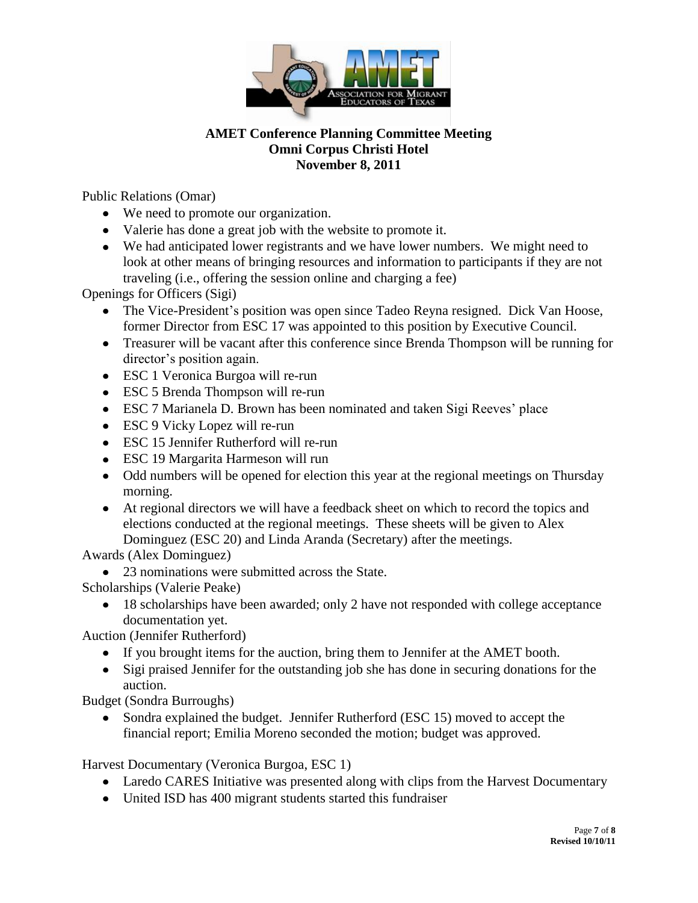

Public Relations (Omar)

- We need to promote our organization.
- Valerie has done a great job with the website to promote it.
- We had anticipated lower registrants and we have lower numbers. We might need to look at other means of bringing resources and information to participants if they are not traveling (i.e., offering the session online and charging a fee)

Openings for Officers (Sigi)

- The Vice-President's position was open since Tadeo Reyna resigned. Dick Van Hoose, former Director from ESC 17 was appointed to this position by Executive Council.
- Treasurer will be vacant after this conference since Brenda Thompson will be running for director's position again.
- ESC 1 Veronica Burgoa will re-run
- ESC 5 Brenda Thompson will re-run
- ESC 7 Marianela D. Brown has been nominated and taken Sigi Reeves' place
- ESC 9 Vicky Lopez will re-run
- ESC 15 Jennifer Rutherford will re-run
- ESC 19 Margarita Harmeson will run
- Odd numbers will be opened for election this year at the regional meetings on Thursday morning.
- At regional directors we will have a feedback sheet on which to record the topics and elections conducted at the regional meetings. These sheets will be given to Alex Dominguez (ESC 20) and Linda Aranda (Secretary) after the meetings.

Awards (Alex Dominguez)

23 nominations were submitted across the State.

Scholarships (Valerie Peake)

• 18 scholarships have been awarded; only 2 have not responded with college acceptance documentation yet.

Auction (Jennifer Rutherford)

- If you brought items for the auction, bring them to Jennifer at the AMET booth.
- Sigi praised Jennifer for the outstanding job she has done in securing donations for the auction.

Budget (Sondra Burroughs)

• Sondra explained the budget. Jennifer Rutherford (ESC 15) moved to accept the financial report; Emilia Moreno seconded the motion; budget was approved.

Harvest Documentary (Veronica Burgoa, ESC 1)

- Laredo CARES Initiative was presented along with clips from the Harvest Documentary
- United ISD has 400 migrant students started this fundraiser